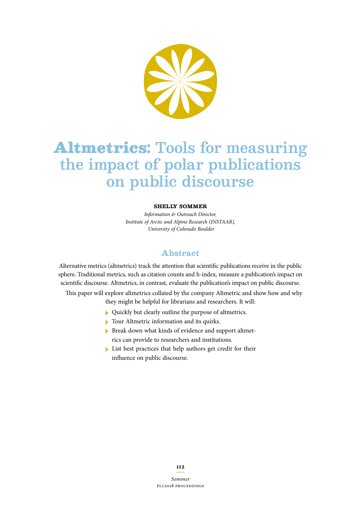

# Altmetrics**:** Tools for measuring the impact of polar publications on public discourse

#### **Shelly Sommer**

*Information & Outreach Director, Institute of Arctic and Alpine Research (INSTAAR), University of Colorado Boulder*

#### **Abstract**

Alternative metrics (altmetrics) track the attention that scientifc publications receive in the public sphere. Traditional metrics, such as citation counts and h-index, measure a publication's impact on scientifc discourse. Altmetrics, in contrast, evaluate the publication's impact on public discourse.

This paper will explore altmetrics collated by the company Altmetric and show how and why they might be helpful for librarians and researchers. It will:

- ӹ Quickly but clearly outline the purpose of altmetrics.
- Tour Altmetric information and its quirks.
- ӹ Break down what kinds of evidence and support altmetrics can provide to researchers and institutions.
- **Exercise** List best practices that help authors get credit for their infuence on public discourse.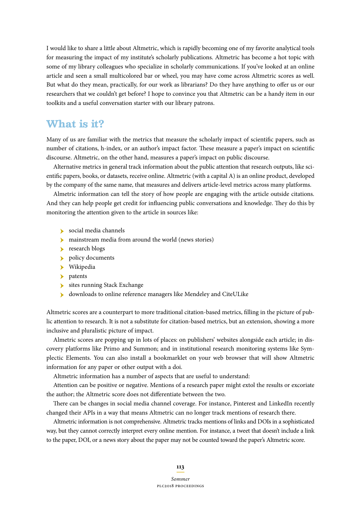I would like to share a little about Altmetric, which is rapidly becoming one of my favorite analytical tools for measuring the impact of my institute's scholarly publications. Altmetric has become a hot topic with some of my library colleagues who specialize in scholarly communications. If you've looked at an online article and seen a small multicolored bar or wheel, you may have come across Altmetric scores as well. But what do they mean, practically, for our work as librarians? Do they have anything to offer us or our researchers that we couldn't get before? I hope to convince you that Altmetric can be a handy item in our toolkits and a useful conversation starter with our library patrons.

## **What is it?**

Many of us are familiar with the metrics that measure the scholarly impact of scientifc papers, such as number of citations, h-index, or an author's impact factor. These measure a paper's impact on scientific discourse. Altmetric, on the other hand, measures a paper's impact on public discourse.

Alternative metrics in general track information about the public attention that research outputs, like scientifc papers, books, or datasets, receive online. Altmetric (with a capital A) is an online product, developed by the company of the same name, that measures and delivers article-level metrics across many platforms.

Almetric information can tell the story of how people are engaging with the article outside citations. And they can help people get credit for influencing public conversations and knowledge. They do this by monitoring the attention given to the article in sources like:

- $\blacktriangleright$  social media channels
- **Individual media from around the world (news stories)**
- research blogs
- $\blacktriangleright$ policy documents
- $\blacktriangleright$  Wikipedia
- $\blacktriangleright$  patents
- $\blacktriangleright$  sites running Stack Exchange
- ӹ downloads to online reference managers like Mendeley and CiteULike

Altmetric scores are a counterpart to more traditional citation-based metrics, flling in the picture of public attention to research. It is not a substitute for citation-based metrics, but an extension, showing a more inclusive and pluralistic picture of impact.

Almetric scores are popping up in lots of places: on publishers' websites alongside each article; in discovery platforms like Primo and Summon; and in institutional research monitoring systems like Symplectic Elements. You can also install a bookmarklet on your web browser that will show Altmetric information for any paper or other output with a doi.

Altmetric information has a number of aspects that are useful to understand:

Attention can be positive or negative. Mentions of a research paper might extol the results or excoriate the author; the Altmetric score does not diferentiate between the two.

There can be changes in social media channel coverage. For instance, Pinterest and LinkedIn recently changed their APIs in a way that means Altmetric can no longer track mentions of research there.

Altmetric information is not comprehensive. Altmetric tracks mentions of links and DOIs in a sophisticated way, but they cannot correctly interpret every online mention. For instance, a tweet that doesn't include a link to the paper, DOI, or a news story about the paper may not be counted toward the paper's Altmetric score.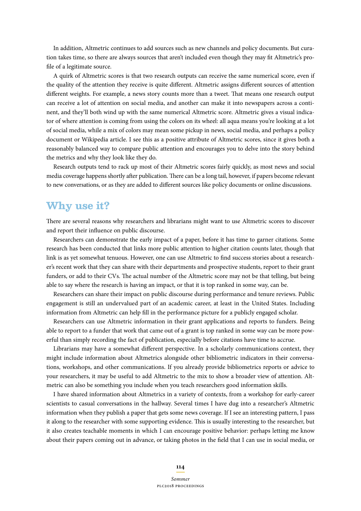In addition, Altmetric continues to add sources such as new channels and policy documents. But curation takes time, so there are always sources that aren't included even though they may ft Altmetric's profle of a legitimate source.

A quirk of Altmetric scores is that two research outputs can receive the same numerical score, even if the quality of the attention they receive is quite diferent. Altmetric assigns diferent sources of attention different weights. For example, a news story counts more than a tweet. That means one research output can receive a lot of attention on social media, and another can make it into newspapers across a continent, and they'll both wind up with the same numerical Altmetric score. Altmetric gives a visual indicator of where attention is coming from using the colors on its wheel: all aqua means you're looking at a lot of social media, while a mix of colors may mean some pickup in news, social media, and perhaps a policy document or Wikipedia article. I see this as a positive attribute of Altmetric scores, since it gives both a reasonably balanced way to compare public attention and encourages you to delve into the story behind the metrics and why they look like they do.

Research outputs tend to rack up most of their Altmetric scores fairly quickly, as most news and social media coverage happens shortly after publication. There can be a long tail, however, if papers become relevant to new conversations, or as they are added to diferent sources like policy documents or online discussions.

### **Why use it?**

There are several reasons why researchers and librarians might want to use Altmetric scores to discover and report their infuence on public discourse.

Researchers can demonstrate the early impact of a paper, before it has time to garner citations. Some research has been conducted that links more public attention to higher citation counts later, though that link is as yet somewhat tenuous. However, one can use Altmetric to fnd success stories about a researcher's recent work that they can share with their departments and prospective students, report to their grant funders, or add to their CVs. The actual number of the Altmetric score may not be that telling, but being able to say where the research is having an impact, or that it is top ranked in some way, can be.

Researchers can share their impact on public discourse during performance and tenure reviews. Public engagement is still an undervalued part of an academic career, at least in the United States. Including information from Altmetric can help fll in the performance picture for a publicly engaged scholar.

Researchers can use Altmetric information in their grant applications and reports to funders. Being able to report to a funder that work that came out of a grant is top ranked in some way can be more powerful than simply recording the fact of publication, especially before citations have time to accrue.

Librarians may have a somewhat diferent perspective. In a scholarly communications context, they might include information about Altmetrics alongside other bibliometric indicators in their conversations, workshops, and other communications. If you already provide bibliometrics reports or advice to your researchers, it may be useful to add Altmetric to the mix to show a broader view of attention. Altmetric can also be something you include when you teach researchers good information skills.

I have shared information about Altmetrics in a variety of contexts, from a workshop for early-career scientists to casual conversations in the hallway. Several times I have dug into a researcher's Altmetric information when they publish a paper that gets some news coverage. If I see an interesting pattern, I pass it along to the researcher with some supporting evidence. This is usually interesting to the researcher, but it also creates teachable moments in which I can encourage positive behavior: perhaps letting me know about their papers coming out in advance, or taking photos in the feld that I can use in social media, or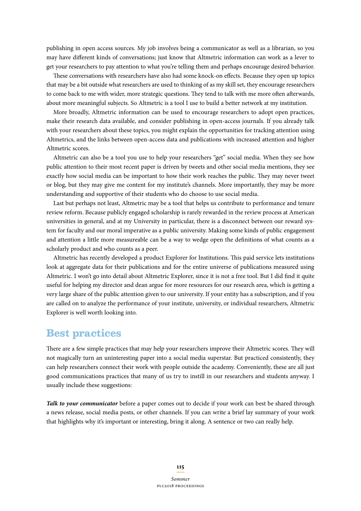publishing in open access sources. My job involves being a communicator as well as a librarian, so you may have diferent kinds of conversations; just know that Altmetric information can work as a lever to get your researchers to pay attention to what you're telling them and perhaps encourage desired behavior.

These conversations with researchers have also had some knock-on effects. Because they open up topics that may be a bit outside what researchers are used to thinking of as my skill set, they encourage researchers to come back to me with wider, more strategic questions. They tend to talk with me more often afterwards, about more meaningful subjects. So Altmetric is a tool I use to build a better network at my institution.

More broadly, Altmetric information can be used to encourage researchers to adopt open practices, make their research data available, and consider publishing in open-access journals. If you already talk with your researchers about these topics, you might explain the opportunities for tracking attention using Altmetrics, and the links between open-access data and publications with increased attention and higher Altmetric scores.

Altmetric can also be a tool you use to help your researchers "get" social media. When they see how public attention to their most recent paper is driven by tweets and other social media mentions, they see exactly how social media can be important to how their work reaches the public. They may never tweet or blog, but they may give me content for my institute's channels. More importantly, they may be more understanding and supportive of their students who do choose to use social media.

Last but perhaps not least, Altmetric may be a tool that helps us contribute to performance and tenure review reform. Because publicly engaged scholarship is rarely rewarded in the review process at American universities in general, and at my University in particular, there is a disconnect between our reward system for faculty and our moral imperative as a public university. Making some kinds of public engagement and attention a little more measureable can be a way to wedge open the defnitions of what counts as a scholarly product and who counts as a peer.

Altmetric has recently developed a product Explorer for Institutions. Tis paid service lets institutions look at aggregate data for their publications and for the entire universe of publications measured using Altmetric. I won't go into detail about Altmetric Explorer, since it is not a free tool. But I did fnd it quite useful for helping my director and dean argue for more resources for our research area, which is getting a very large share of the public attention given to our university. If your entity has a subscription, and if you are called on to analyze the performance of your institute, university, or individual researchers, Altmetric Explorer is well worth looking into.

## **Best practices**

There are a few simple practices that may help your researchers improve their Altmetric scores. They will not magically turn an uninteresting paper into a social media superstar. But practiced consistently, they can help researchers connect their work with people outside the academy. Conveniently, these are all just good communications practices that many of us try to instill in our researchers and students anyway. I usually include these suggestions:

*Talk to your communicator* before a paper comes out to decide if your work can best be shared through a news release, social media posts, or other channels. If you can write a brief lay summary of your work that highlights why it's important or interesting, bring it along. A sentence or two can really help.